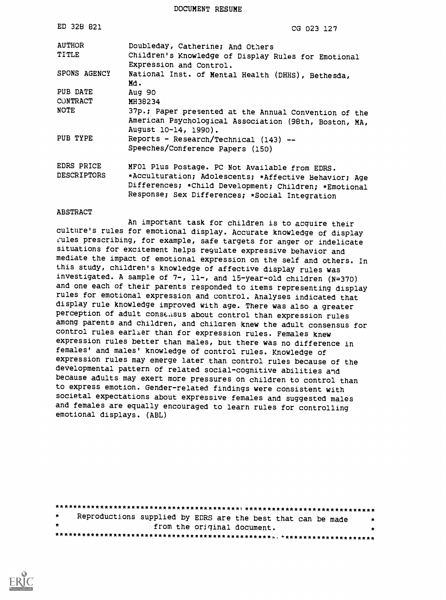DOCUMENT RESUME

| ED 328 821                       | CG 023 127                                                                                                                                                       |
|----------------------------------|------------------------------------------------------------------------------------------------------------------------------------------------------------------|
| <b>AUTHOR</b>                    | Doubleday, Catherine; And Others                                                                                                                                 |
| TITLE                            | Children's Knowledge of Display Rules for Emotional<br>Expression and Control.                                                                                   |
| SPONS AGENCY                     | National Inst. of Mental Health (DHHS), Bethesda,<br>Md.                                                                                                         |
| PUB DATE                         | Aug 90                                                                                                                                                           |
| <b>CONTRACT</b>                  | MH38234                                                                                                                                                          |
| NOTE                             | 37p.; Paper presented at the Annual Convention of the<br>American Psychological Association (98th, Boston, MA,                                                   |
|                                  | August 10-14, 1990).                                                                                                                                             |
| PUB TYPE                         | Reports - Research/Technical (143) --<br>Speeches/Conference Papers (150)                                                                                        |
|                                  |                                                                                                                                                                  |
| EDRS PRICE<br><b>DESCRIPTORS</b> | MFO1 Plus Postage. PC Not Available from EDRS.<br>*Acculturation; Adolescents; *Affective Behavior; Age<br>Differences; *Child Development; Children; *Emotional |
|                                  | Response; Sex Differences; *Social Integration                                                                                                                   |

#### ABSTRACT

An important task for children is to acquire their culture's rules for emotional display. Accurate knowledge of display cules prescribing, for example, safe targets for anger or indelicate situations for excitement helps regulate expressive behavior and mediate the impact of emotional expression on the self and others. In this study, children's knowledge of affective display rules was investigated. A sample of 7-, 11-, and 15-year-old children (N=370) and one each of their parents responded to items representing display rules for emotional expression and control. Analyses indicated that display rule knowledge improved with age. There was also a greater perception of adult consc.'isus about control than expression rules among parents and children, and chilaren knew the adult consensus for control rules earlier than for expression rules. Females knew expression rules better than males, but there was no difference in females' and males' knowledge of control rules. Knowledge of expression rules may emerge later than control rules because of the developmental pattern of related social-cognitive abilities and because adults may exert more pressures on children to control than to express emotion. Gender-related findings were consistent with societal expectations about expressive females and suggested males and females are equally encouraged to learn rules for controlling emotional displays. (ABL)

| ★       |  | Reproductions supplied by EDRS are the best that can be made | ж. |
|---------|--|--------------------------------------------------------------|----|
| $\star$ |  | from the original document.                                  |    |
|         |  |                                                              |    |

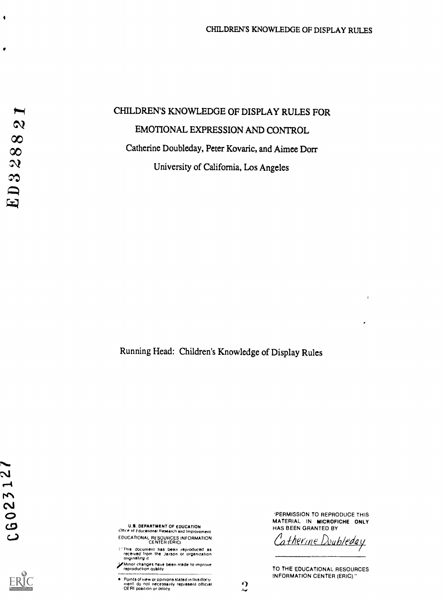$\blacklozenge$ 

 $\bullet$ 

# CHILDREN'S KNOWLEDGE OF DISPLAY RULES FOR EMOTIONAL EXPRESSION AND CONTROL Catherine Doubleday, Peter Kovaric, and Aimee Dorr University of California, Los Angeles

Running Head: Children's Knowledge of Display Rules

CG02312

U.S. DEPARTMENT OF EDUCATION<br>Office of Educational Research and Improvement EDUCATIONAL RESOURCES INFORMATION<br>CENTER (ERIC)

C This document has been reproduced as<br>- received from the person or organization<br>- originaling it

Minor changes have been made to improve<br>reproduction quality

 $\bullet$ Points of view or opinions slated in this docu ment do not necessarily represent official OE RI position or policy

'PERMISSION TO REPRODUCE THIS MATERIAL IN MICROFICHE ONLY HAS BEEN GRANTED BY

 $\mathbf{r}$ 

Catherine Doubleday

TO THE EDUCATIONAL RESOURCES INFORMATION CENTER (ERIC)"

 $\mathbf{C}$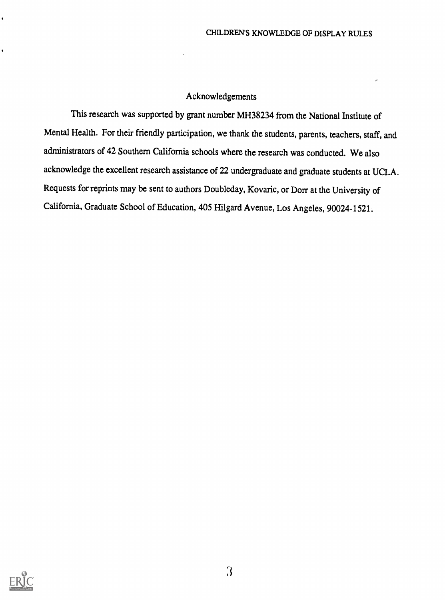# Acknowledgements

This research was supported by grant number MH38234 from the National Institute of Mental Health. For their friendly participation, we thank the students, parents, teachers, staff, and administrators of 42 Southern California schools where the research was conducted. We also acknowledge the excellent research assistance of 22 undergraduate and graduate students at UCLA. Requests for reprints may be sent to authors Doubleday, Kovaric, or Dorr at the University of California, Graduate School of Education, 405 Hilgard Avenue, Los Angeles, 90024-1521.

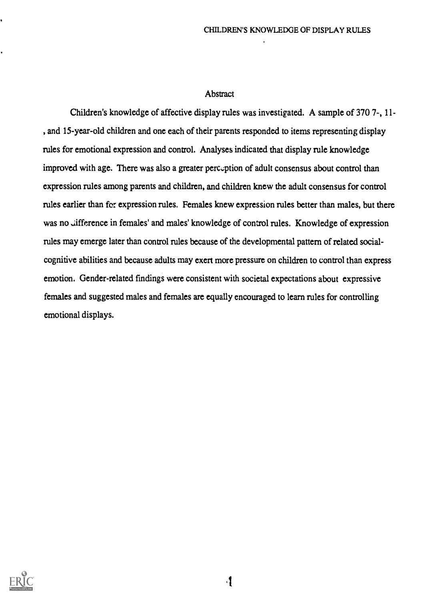# **Abstract**

Children's knowledge of affective display rules was investigated. A sample of 370 7-, 11- , and 15-year-old children and one each of their parents responded to items representing display rules for emotional expression and control. Analyses indicated that display rule knowledge improved with age. There was also a greater perception of adult consensus about control than expression rules among parents and children, and children knew the adult consensus for control rules earlier than for expression rules. Females knew expression rules better than males, but there was no difference in females' and males' knowledge of control rules. Knowledge of expression rules may emerge later than control rules because of the developmental pattern of related socialcognitive abilities and because adults may exert more pressure on children to control than express emotion. Gender-related findings were consistent with societal expectations about expressive females and suggested males and females are equally encouraged to learn rules for controlling emotional displays.

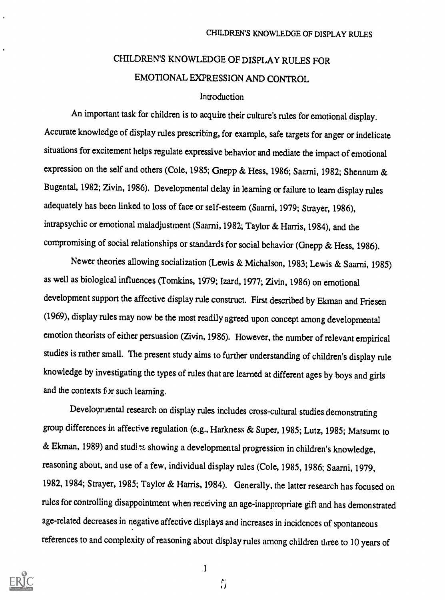# CHILDREN'S KNOWLEDGE OF DISPLAY RULES FOR EMOTIONAL EXPRESSION AND CONTROL

# Introduction

An important task for children is to acquire their culture's rules for emotional display. Accurate knowledge of display rules prescribing, for example, safe targets for anger or indelicate situations for excitement helps regulate expressive behavior and mediate the impact of emotional expression on the self and others (Cole, 1985; Gnepp & Hess, 1986; Saarni, 1982; Shennum & Bugental, 1982; Zivin, 1986). Developmental delay in learning or failure to learn display rules adequately has been linked to loss of face or self-esteem (Saarni, 1979; Strayer, 1986), intrapsychic or emotional maladjustment (Saarni, 1982; Taylor & Harris, 1984), and the compromising of social relationships or standards for social behavior (Gnepp & Hess, 1986).

Newer theories allowing socialization (Lewis & Michalson, 1983; Lewis & Saarni, 1985) as well as biological influences (Tomkins, 1979; Izard, 1977; Zivin, 1986) on emotional development support the affective display rule construct. First described by Ekman and Friesen (1969), display rules may now be the most readily agreed upon concept among developmental emotion theorists of either persuasion (Zivin, 1986). However, the number of relevant empirical studies is rather small. The present study aims to further understanding of children's display rule knowledge by investigating the types of rules that are learned at different ages by boys and girls and the contexts for such learning.

Developrlental research on display rules includes cross-cultural studies demonstrating group differences in affective regulation (e.g., Harkness & Super, 1985; Lutz, 1985; Matsum to & Ekman, 1989) and studies showing a developmental progression in children's knowledge, reasoning about, and use of a few, individual display rules (Cole, 1985, 1986; Saarni, 1979, 1982, 1984; Strayer, 1985; Taylor & Harris, 1984). Generally, the latter research has focused on rules for controlling disappointment when receiving an age-inappropriate gift and has demonstrated age-related decreases in negative affective displays and increases in incidences of spontaneous references to and complexity of reasoning about display rules among children three to 10 years of



1

 $\zeta$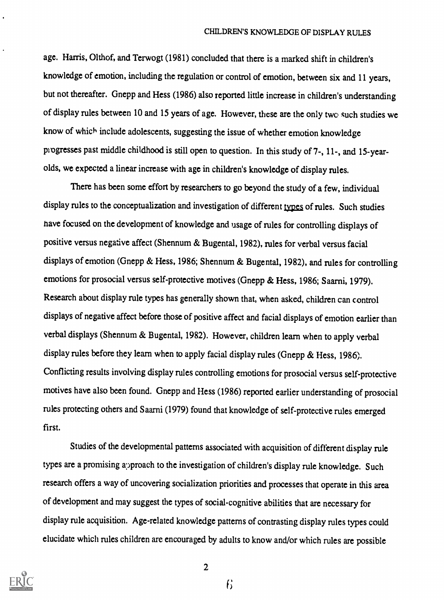age. Harris, Olthof, and Terwogt (1981) concluded that there is a marked shift in children's knowledge of emotion, including the regulation or control of emotion, between six and 11 years, but not thereafter. Gnepp and Hess (1986) also reported little increase in children's understanding of display rules between 10 and 15 years of age. However, these are the only two such studies we know of which include adolescents, suggesting the issue of whether emotion knowledge progresses past middle childhood is still open to question. In this study of 7-, 11-, and 15-yearolds, we expected a linear increase with age in children's knowledge of display rules.

There has been some effort by researchers to go beyond the study of a few, individual display rules to the conceptualization and investigation of different types of rules. Such studies have focused on the development of knowledge and usage of rules for controlling displays of positive versus negative affect (Shennum & Bugental, 1982), rules for verbal versus facial displays of emotion (Gnepp & Hess, 1986; Shennum & Bugental, 1982), and rules for controlling emotions for prosocial versus self-protective motives (Gnepp & Hess, 1986; Saarni, 1979). Research about display rule types has generally shown that, when asked, children can control displays of negative affect before those of positive affect and facial displays of emotion earlier than verbal displays (Shennum & Bugental, 1982). However, children learn when to apply verbal display rules before they learn when to apply facial display rules (Gnepp & Hess, 1986). Conflicting results involving display rules controlling emotions for prosocial versus self-protective motives have also been found. Gnepp and Hess (1986) reported earlier understanding of prosocial rules protecting others and Saarni (1979) found that knowledge of self-protective rules emerged first.

Studies of the developmental patterns associated with acquisition of different display rule types are a promising approach to the investigation of children's display rule knowledge. Such research offers a way of uncovering socialization priorities and processes that operate in this area of development and may suggest the types of social-cognitive abilities that are necessary for display rule acquisition. Age-related knowledge patterns of contrasting display rules types could elucidate which rules children are encouraged by adults to know and/or which rules are possible



2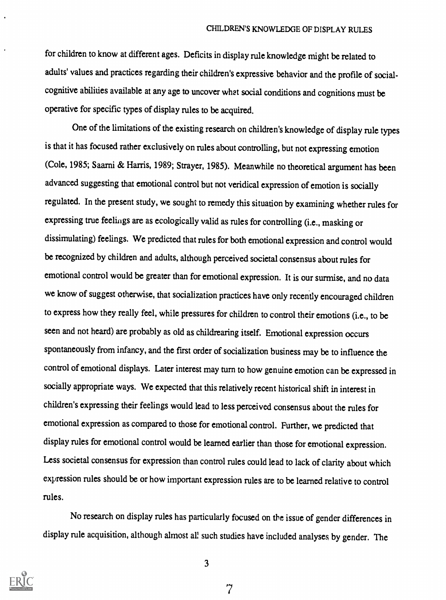for children to know at different ages. Deficits in display rule knowledge might be related to adults' values and practices regarding their children's expressive behavior and the profile of socialcognitive abilities available at any age to uncover what social conditions and cognitions must be operative for specific types of display rules to be acquired.

One of the limitations of the existing research on children's knowledge of display rule types is that it has focused rather exclusively on rules about controlling, but not expressing emotion (Cole, 1985; Saarni & Harris, 1989; Strayer, 1985). Meanwhile no theoretical argument has been advanced suggesting that emotional control but not veridical expression of emotion is socially regulated. In the present study, we sought to remedy this situation by examining whether rules for expressing true feelings are as ecologically valid as rules for controlling (i.e., masking or dissimulating) feelings. We predicted that rules for both emotional expression and control would be recognized by children and adults, although perceived societal consensus about rules for emotional control would be greater than for emotional expression. It is our surmise, and no data we know of suggest otherwise, that socialization practices have only recently encouraged children to express how they really feel, while pressures for children to control their emotions (i.e., to be seen and not heard) are probably as old as childrearing itself. Emotional expression occurs spontaneously from infancy, and the first order of socialization business may be to influence the control of emotional displays. Later interest may turn to how genuine emotion can be expressed in socially appropriate ways. We expected that this relatively recent historical shift in interest in children's expressing their feelings would lead to less perceived consensus about the rules for emotional expression as compared to those for emotional control. Further, we predicted that display rules for emotional control would be learned earlier than those for emotional expression. Less societal consensus for expression than control rules could lead to lack of clarity about which expression rules should be or how important expression rules are to be learned relative to control rules.

No research on display rules has particularly focused on the issue of gender differences in display rule acquisition, although almost all such studies have included analyses by gender. The



3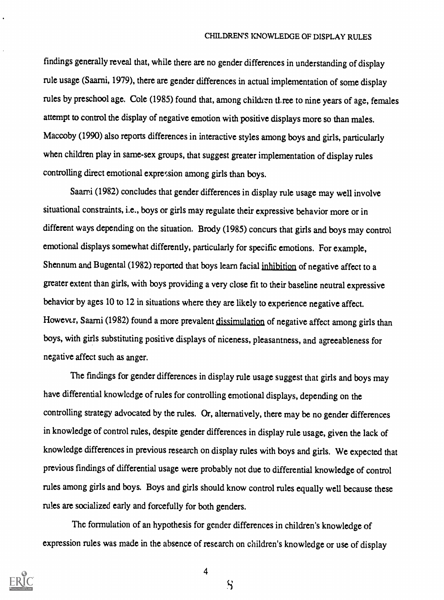findings generally reveal that, while there are no gender differences in understanding of display rule usage (Saarni, 1979), there are gender differences in actual implementation of some display rules by preschool age. Cole (1985) found that, among children three to nine years of age, females attempt to control the display of negative emotion with positive displays more so than males. Maccoby (1990) also reports differences in interactive styles among boys and girls, particularly when children play in same-sex groups, that suggest greater implementation of display rules controlling direct emotional expression among girls than boys.

Saarni (1982) concludes that gender differences in display rule usage may well involve situational constraints, i.e., boys or girls may regulate their expressive behavior more or in different ways depending on the situation. Brody (1985) concurs that girls and boys may control emotional displays somewhat differently, particularly for specific emotions. For example, Shennum and Bugental (1982) reported that boys learn facial inhibition of negative affect to a greater extent than girls, with boys providing a very close fit to their baseline neutral expressive behavior by ages 10 to 12 in situations where they are likely to experience negative affect. However, Saarni (1982) found a more prevalent dissimulation of negative affect among girls than boys, with girls substituting positive displays of niceness, pleasantness, and agreeableness for negative affect such as anger.

The findings for gender differences in display rule usage suggest that girls and boys may have differential knowledge of rules for controlling emotional displays, depending on the controlling strategy advocated by the rules. Or, alternatively, there may be no gender differences in knowledge of control rules, despite gender differences in display rule usage, given the lack of knowledge differences in previous research on display rules with boys and girls. We expected that previous findings of differential usage were probably not due to differential knowledge of control rules among girls and boys. Boys and girls should know control rules equally well because these rules are socialized early and forcefully for both genders.

The formulation of an hypothesis for gender differences in children's knowledge of expression rules was made in the absence of research on children's knowledge or use of display



4

 $S$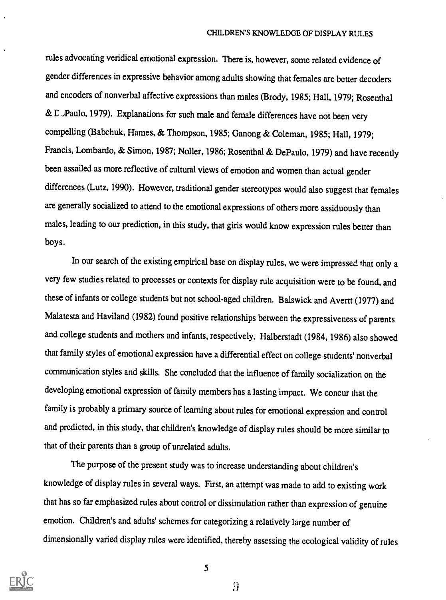rules advocating veridical emotional expression. There is, however, some related evidence of gender differences in expressive behavior among adults showing that females are better decoders and encoders of nonverbal affective expressions than males(Brody, 1985; Hall, 1979; Rosenthal  $&$  E  $\mathcal{L}$  Paulo, 1979). Explanations for such male and female differences have not been very compelling (Babchuk, Hames, & Thompson, 1985; Ganong & Coleman, 1985; Hall, 1979; Francis, Lombardo, & Simon, 1987; Noller, 1986; Rosenthal & DePaulo, 1979) and have recently been assailed as more reflective of cultural views of emotion and women than actual gender differences (Lutz, 1990). However, traditional gender stereotypes would also suggest that females are generally socialized to attend to the emotional expressions of others more assiduously than males, leading to our prediction, in this study, that girls would know expression rules better than boys.

In our search of the existing empirical base on display rules, we were impressed that only a very few studies related to processes or contexts for display rule acquisition were to be found, and these of infants or college students but not school-aged children. Balswick and Avertt (1977) and Malatesta and Haviland (1982) found positive relationships between the expressiveness of parents and college students and mothers and infants, respectively. Halberstadt (1984, 1986) also showed that family styles of emotional expression have a differential effect on college students' nonverbal communication styles and skills. She concluded that the influence of family socialization on the developing emotional expression of family members has a lasting impact. We concur that the family is probably a primary source of learning about rules for emotional expression and control and predicted, in this study, that children's knowledge of display rules should be more similar to that of their parents than a group of unrelated adults.

The purpose of the present study was to increase understanding about children's knowledge of display rules in several ways. First, an attempt was made to add to existing work that has so far emphasized rules about control or dissimulation rather than expression of genuine emotion. Children's and adults' schemes for categorizing a relatively large number of dimensionally varied display rules were identified, thereby assessing the ecological validity of rules



5

 $\Omega$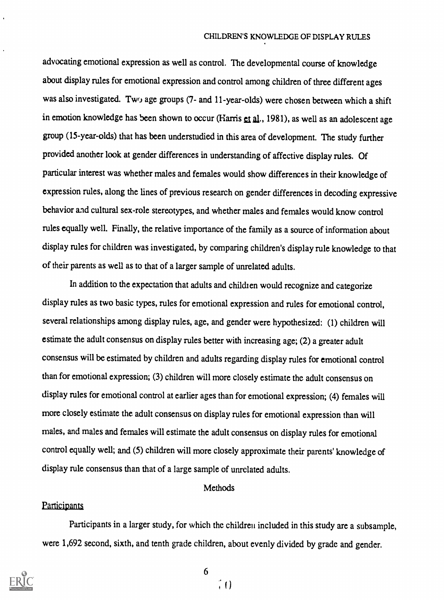advocating emotional expression as well as control. The developmental course of knowledge about display rules for emotional expression and control among children of three different ages was also investigated. Two age groups (7- and 11-year-olds) were chosen between which a shift in emotion knowledge has been shown to occur (Harris et al., 1981), as well as an adolescent age group (15-year-olds) that has been understudied in this area of development. The study further provided another look at gender differences in understanding of affective display rules. Of particular interest was whether males and females would show differences in their knowledge of expression rules, along the lines of previous research on gender differences in decoding expressive behavior and cultural sex-role stereotypes, and whether males and females would know control rules equally well. Finally, the relative importance of the family as a source of information about display rules for children was investigated, by comparing children's display rule knowledge to that of their parents as well as to that of a larger sample of unrelated adults.

In addition to the expectation that adults and children would recognize and categorize display rules as two basic types, rules for emotional expression and rules for emotional control, several relationships among display rules, age, and gender were hypothesized: (1) children will estimate the adult consensus on display rules better with increasing age; (2) a greater adult consensus will be estimated by children and adults regarding display rules for emotional control than for emotional expression; (3) children will more closely estimate the adult consensus on display rules for emotional control at earlier ages than for emotional expression; (4) females will more closely estimate the adult consensus on display rules for emotional expression than will males, and males and females will estimate the adult consensus on display rules for emotional control equally well; and (5) children will more closely approximate their parents' knowledge of display rule consensus than that of a large sample of unrelated adults.

# Methods

# **Participants**

Participants in a larger study, for which the children included in this study are a subsample, were 1,692 second, sixth, and tenth grade children, about evenly divided by grade and gender.



6

 $\hat{i}$  ()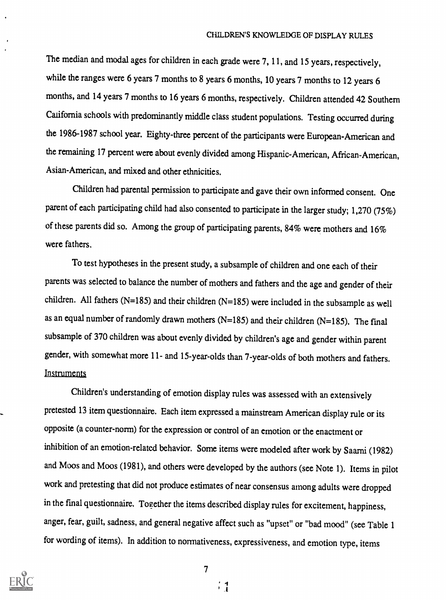The median and modal ages for children in each grade were 7, 11, and 15 years, respectively, while the ranges were 6 years 7 months to 8 years 6 months, 10 years 7 months to 12 years 6 months, and 14 years 7 months to 16 years 6 months, respectively. Children attended 42 Southern California schools with predominantly middle class student populations. Testing occurred during the 1986-1987 school year. Eighty-three percent of the participants were European-American and the remaining 17 percent were about evenly divided among Hispanic-American, African-American, Asian-American, and mixed and other ethnicities.

Children had parental permission to participate and gave their own informed consent. One parent of each participating child had also consented to participate in the larger study; 1,270 (75%) of these parents did so. Among the group of participating parents,  $84\%$  were mothers and  $16\%$ were fathers.

To test hypotheses in the present study, a subsample of children and one each of their parents was selected to balance the number of mothers and fathers and the age and gender of their children. All fathers (N=185) and their children (N=185) were included in the subsample as well as an equal number of randomly drawn mothers (N=185) and their children (N=185). The final subsample of 370 children was about evenly divided by children's age and gender within parent gender, with somewhat more 11- and 15-year-olds than 7-year-olds of both mothers and fathers. **Instruments** 

Children's understanding of emotion display rules was assessed with an extensively pretested 13 item questionnaire. Each item expressed a mainstream American display rule or its opposite (a counter-norm) for the expression or control of an emotion or the enactment or inhibition of an emotion-related behavior. Some items were modeled after work by Saarni (1982) and Moos and Moos (1981), and others were developed by the authors (see Note 1). Items in pilot work and pretesting that did not produce estimates of near consensus among adults were dropped in the fmal questionnaire. Together the items described display rules for excitement, happiness, anger, fear, guilt, sadness, and general negative affect such as "upset" or "bad mood" (see Table 1 for wording of items). In addition to normativeness, expressiveness, and emotion type, items



7

 $\frac{1}{2}$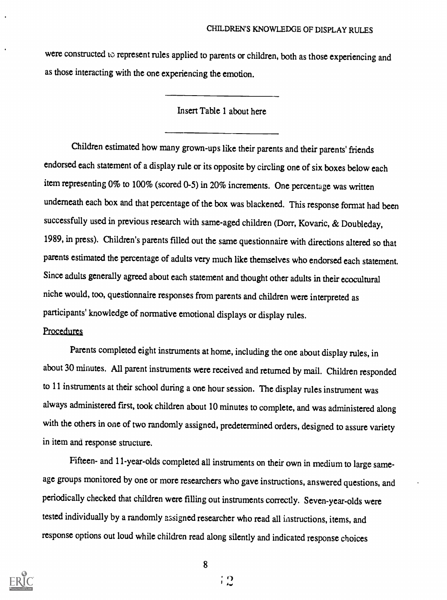were constructed to represent rules applied to parents or children, both as those experiencing and as those interacting with the one experiencing the emotion.

Insert Table 1 about here

Children estimated how many grown-ups like their parents and their parents' friends endorsed each statement of a display rule or its opposite by circling one of six boxes below each item representing 0% to 100% (scored 0-5) in 20% increments. One percentage was written underneath each box and that percentage of the box was blackened. This response format had been successfully used in previous research with same-aged children (Dorr, Kovaric, & Doubleday, 1989, in press). Children's parents filled out the same questionnaire with directions altered so that parents estimated the percentage of adults very much like themselves who endorsed each statement. Since adults generally agreed about each statement and thought other adults in their ecocultural niche would, too, questionnaire responses from parents and children were interpreted as participants' knowledge of normative emotional displays or display rules.

# **Procedures**

Parents completed eight instruments at home, including the one about display rules, in about 30 minutes. All parent instruments were received and returned by mail. Children responded to 11 instruments at their school during a one hour session. The display rules instrument was always administered first, took children about 10 minutes to complete, and was administered along with the others in one of two randomly assigned, predetermined orders, designed to assure variety in item and response structure.

Fifteen- and 11-year-olds completed all instruments on their own in medium to large sameage groups monitored by one or more researchers who gave instructions, answered questions, and periodically checked that children were filling out instruments correctly. Seven-year-olds were tested individually by a randomly assigned researcher who read all instructions, items, and response options out loud while children read along silently and indicated response choices



8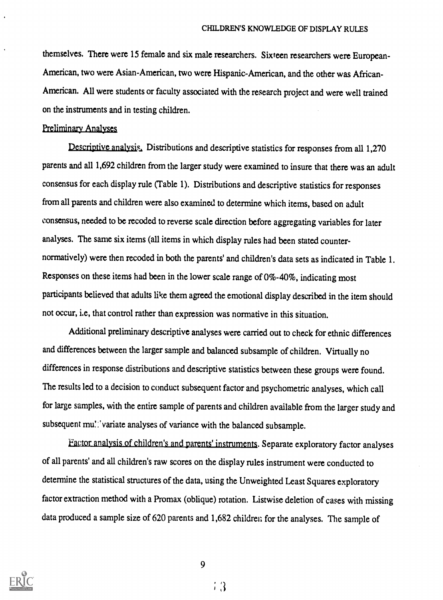themselves. There were 15 female and six male researchers. Sixteen researchers were European-American, two were Asian-American, two were Hispanic-American, and the other was African-American. All were students or faculty associated with the research project and were well trained on the instruments and in testing children.

# Preliminary Analyses

Descriptive analysis. Distributions and descriptive statistics for responses from all 1,270 parents and all 1,692 children from the larger study were examined to insure that there was an adult consensus for each display rule (Table 1). Distributions and descriptive statistics forresponses from all parents and children were also examined to determine which items, based on adult consensus, needed to be recoded to reverse scale direction before aggregating variables for later analyses. The same six items (all items in which display rules had been stated counternormatively) were then recoded in both the parents' and children's data sets as indicated in Table 1. Responses on these items had been in the lower scale range of 0%-40%, indicating most participants believed that adults like them agreed the emotional display described in the item should not occur, i.e, that control rather than expression was normative in this situation.

Additional preliminary descriptive analyses were carried out to check for ethnic differences and differences between the larger sample and balanced subsample of children. Virtually no differences in response distributions and descriptive statistics between these groups were found. The results led to a decision to conduct subsequent factor and psychometric analyses, which call for large samples, with the entire sample of parents and children available from the larger study and subsequent mullivariate analyses of variance with the balanced subsample.

Eavtor analysis of children's and parents' instruments. Separate exploratory factor analyses of all parents' and all children's raw scores on the display rules instrument were conducted to determine the statistical structures of the data, using the Unweighted Least Squares exploratory factor extraction method with a Promax (oblique) rotation. Listwise deletion of cases with missing data produced a sample size of 620 parents and 1,682 children for the analyses. The sample of



9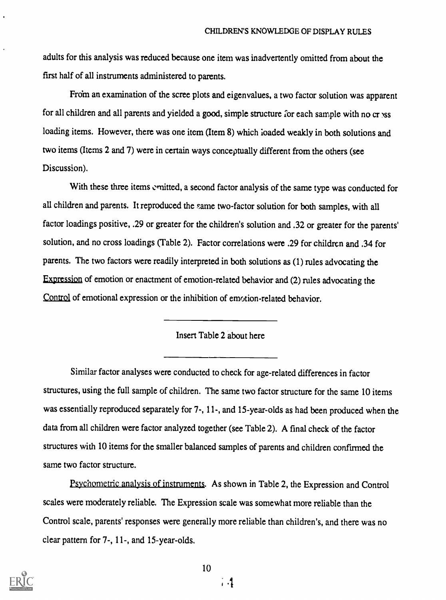adults for this analysis was reduced because one item was inadvertently omitted from about the first half of all instruments administered to parents.

From an examination of the scree plots and eigenvalues, a two factor solution was apparent for all children and all parents and yielded a good, simple structure for each sample with no cr sss loading items. However, there was one item (Item 8) which loaded weakly in both solutions and two items (Items 2 and 7) were in certain ways conceptually different from the others (see Discussion).

With these three items emitted, a second factor analysis of the same type was conducted for all children and parents. It reproduced the same two-factor solution for both samples, with all factor loadings positive, .29 or greater for the children's solution and .32 or greater for the parents' solution, and no cross loadings (Table 2). Factor correlations were .29 for children and .34 for parents. The two factors were readily interpreted in both solutions as (1) rules advocating the Expression of emotion or enactment of emotion-related behavior and (2) rules advocating the Control of emotional expression or the inhibition of emotion-related behavior.

Insert Table 2 about here

Similar factor analyses were conducted to check for age-related differences in factor structures, using the full sample of children. The same two factor structure for the same 10 items was essentially reproduced separately for 7-, 11-, and 15-year-olds as had been produced when the data from all children were factor analyzed together (see Table 2). A final check of the factor structures with 10 items for the smaller balanced samples of parents and children confirmed the same two factor structure.

Psychometric analysis of instruments. As shown in Table 2, the Expression and Control scales were moderately reliable. The Expression scale was somewhat more reliable than the Control scale, parents' responses were generally more reliable than children's, and there was no clear pattern for 7-, 11-, and 15-year-olds.



10

 $\ddot{\phantom{1}}$ .1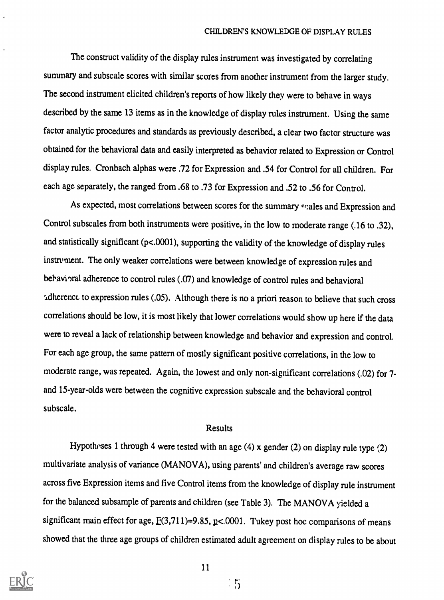The construct validity of the display rules instrument was investigated by correlating summary and subscale scores with similar scores from another instrument from the larger study. The second instrument elicited children's reports of how likely they were to behave in ways described by the same 13 items as in the knowledge of display rules instrument. Using the same factor analytic procedures and standards as previously described, a clear two factor structure was obtained for the behavioral data and easily interpreted as behavior related to Expression or Control display rules. Cronbach alphas were .72 for Expression and .54 for Control for all children. For each age separately, the ranged from .68 to .73 for Expression and .52 to .56 for Control.

As expected, most correlations between scores for the summary scales and Expression and Control subscales from both instruments were positive, in the low to moderate range (.16 to .32), and statistically significant (p<.0001), supporting the validity of the knowledge of display rules instrument. The only weaker correlations were between knowledge of expression rules and behavioral adherence to control rules (.07) and knowledge of control rules and behavioral adherenct to expression rules (.05). Although there is no a priori reason to believe that such cross correlations should be low, it is most likely that lower correlations would show up here if the data were to reveal a lack of relationship between knowledge and behavior and expression and control. For each age group, the same pattern of mostly significant positive correlations, in the low to moderate range, was repeated. Again, the lowest and only non-significant correlations (.02) for 7 and 15-year-olds were between the cognitive expression subscale and the behavioral control subscale.

# Results

Hypotheses 1 through 4 were tested with an age  $(4)$  x gender  $(2)$  on display rule type  $(2)$ multivariate analysis of variance (MANOVA), using parents' and children's average raw scores across five Expression items and five Control items from the knowledge of display rule instrument for the balanced subsample of parents and children (see Table 3). The MANOVA yielded a significant main effect for age,  $E(3,711)=9.85$ ,  $p<0.0001$ . Tukey post hoc comparisons of means showed that the three age groups of children estimated adult agreement on display rules to be about



11

 $\frac{1}{2}$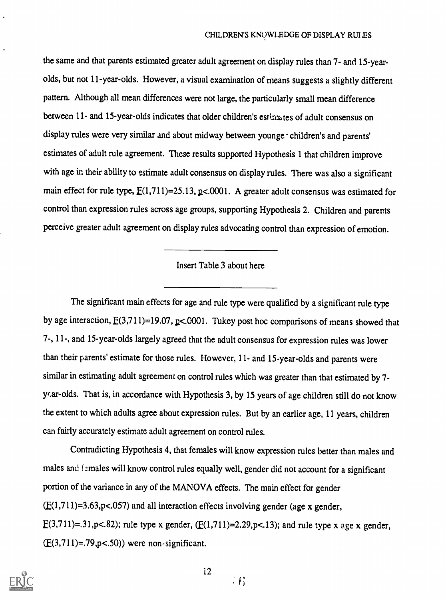the same and that parents estimated greater adult agreement on display rules than 7- and 15-yearolds, but not 11-year-olds. However, a visual examination of means suggests a slightly different pattern. Although all mean differences were not large, the particularly small mean difference between 11- and 15-year-olds indicates that older children's estimates of adult consensus on display rules were very similar and about midway between younge. children's and parents' estimates of adult rule agreement. These results supported Hypothesis 1 that children improve with age in their ability to estimate adult consensus on display rules. There was also a significant main effect for rule type,  $E(1,711)=25.13$ ,  $p<.0001$ . A greater adult consensus was estimated for control than expression rules across age groups, supporting Hypothesis 2. Children and parents perceive greater adult agreement on display rules advocating control than expression of emotion.

# Insert Table 3 about here

The significant main effects for age and rule type were qualified by a significant rule type by age interaction,  $E(3,711)=19.07$ ,  $p<.0001$ . Tukey post hoc comparisons of means showed that 7-, 11-, and 15-year-olds largely agreed that the adult consensus for expression rules was lower than their parents' estimate for those rules. However, 11- and 15-year-olds and parents were similar in estimating adult agreement on control rules which was greater than that estimated by 7 ycar-olds. That is, in accordance with Hypothesis 3, by 15 years of age children still do not know the extent to which adults agree about expression rules. But by an earlier age, 11 years, children can fairly accurately estimate adult agreement on control rules.

Contradicting Hypothesis 4, that females will know expression rules better than males and males and females will know control rules equally well, gender did not account for a significant portion of the variance in any of the MANOVA effects. The main effect for gender  $(E(1,711)=3.63$ , p<.057) and all interaction effects involving gender (age x gender, E(3,711)=.31,p<.82); rule type x gender,  $(E(1,711)=2.29$ ,p<.13); and rule type x age x gender,  $(E(3,711)=.79, p<.50)$ ) were non-significant.



 $\mathbb{R}$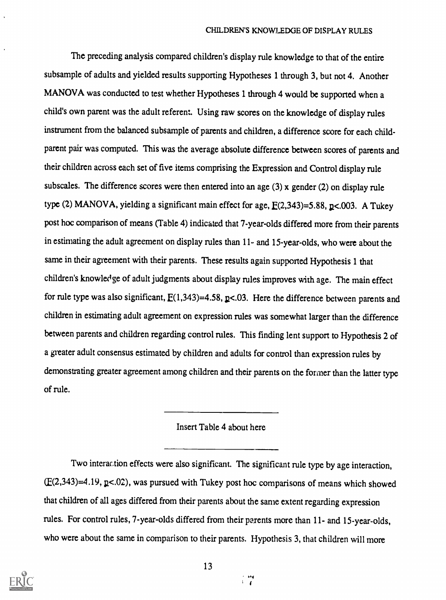The preceding analysis compared children's display rule knowledge to that of the entire subsample of adults and yielded results supporting Hypotheses 1 through 3, but not 4. Another MANOVA was conducted to test whether Hypotheses 1 through 4 would be supported when a child's own parent was the adult referent. Using raw scores on the knowledge of display rules instrument from the balanced subsample of parents and children, a difference score for each childparent pair was computed. This was the average absolute difference between scores of parents and their children across each set of five items comprising the Expression and Control display rule subscales. The difference scores were then entered into an age (3) x gender (2) on display rule type (2) MANOVA, yielding a significant main effect for age,  $E(2,343)=5.88$ ,  $p<.003$ . A Tukey post hoc comparison of means (Table 4) indicated that 7-year-olds differed more from their parents in estimating the adult agreement on display rules than 11- and 15-year-olds, who were about the same in their agreement with their parents. These results again supported Hypothesis 1 that children's knowledge of adult judgments about display rules improves with age. The main effect for rule type was also significant,  $E(1,343)=4.58$ ,  $p<.03$ . Here the difference between parents and children in estimating adult agreement on expression rules was somewhat larger than the difference between parents and children regarding control rules. This finding lent support to Hypothesis 2 of a greater adult consensus estimated by children and adults for control than expression rules by demonstrating greater agreement among children and their parents on the former than the latter type of rule.

# Insert Table 4 about here

Two interaction effects were also significant. The significant rule type by age interaction,  $(E(2,343)=4.19, p<.02)$ , was pursued with Tukey post hoc comparisons of means which showed that children of all ages differed from their parents about the same extent regarding expression rules. For control rules, 7-year-olds differed from their parents more than 11- and 15-year-olds, who were about the same in comparison to their parents. Hypothesis 3, that children will more

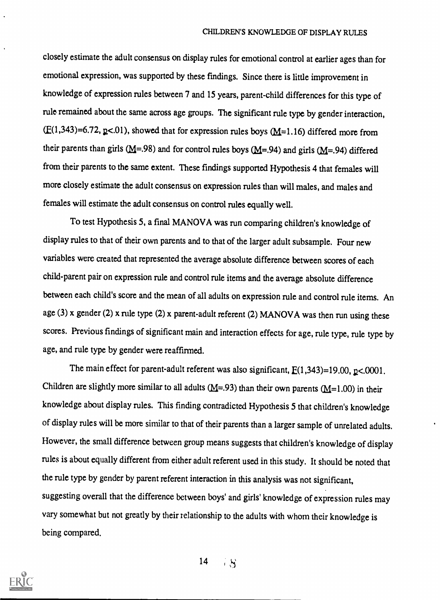closely estimate the adult consensus on display rules for emotional control at earlier ages than for emotional expression, was supported by these fmdings. Since there is little improvement in knowledge of expression rules between 7 and 15 years, parent-child differences for this type of rule remained about the same across age groups. The significant rule type by gender interaction,  $(E(1,343)=6.72, p<.01)$ , showed that for expression rules boys (M=1.16) differed more from their parents than girls ( $M$ =.98) and for control rules boys ( $M$ =.94) and girls ( $M$ =.94) differed from their parents to the same extent. These findings supported Hypothesis 4 that females will more closely estimate the adult consensus on expression rules than will males, and males and females will estimate the adult consensus on control rules equally well.

To test Hypothesis 5, a final MANOVA was run comparing children's knowledge of display rules to that of their own parents and to that of the larger adult subsample. Four new variables were created that represented the average absolute difference between scores of each child-parent pair on expression rule and control rule items and the average absolute difference between each child's score and the mean of all adults on expression rule and control rule items. An age (3) x gender (2) x rule type (2) x parent-adult referent (2) MANOVA was then run using these scores. Previous findings of significant main and interaction effects for age, rule type, rule type by age, and rule type by gender were reaffirmed.

The main effect for parent-adult referent was also significant,  $E(1,343)=19.00$ ,  $p<0.0001$ . Children are slightly more similar to all adults ( $M$ =.93) than their own parents ( $M$ =1.00) in their knowledge about display rules. This finding contradicted Hypothesis 5 that children's knowledge of display rules will be more similar to that of their parents than a larger sample of unrelated adults. However, the small difference between group means suggests that children's knowledge of display rules is about equally different from either adult referent used in this study. It should be noted that the rule type by gender by parent referent interaction in this analysis was not significant, suggesting overall that the difference between boys' and girls' knowledge of expression rules may vary somewhat but not greatly by their relationship to the adults with whom their knowledge is being compared.



14- 5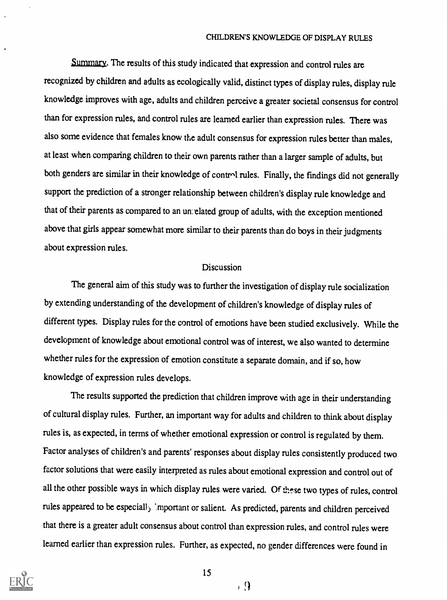Summary. The results of this study indicated that expression and control rules are recognized by children and adults as ecologically valid, distinct types of display rules, display rule knowledge improves with age, adults and children perceive a greater societal consensus for control than for expression rules, and control rules are learned earlier than expression rules. There was also some evidence that females know the adult consensus for expression rules better than males, at least when comparing children to their own parents rather than a larger sample of adults, but both genders are similar in their knowledge of control rules. Finally, the findings did not generally support the prediction of a stronger relationship between children's display rule knowledge and that of their parents as compared to an unrelated group of adults, with the exception mentioned above that girls appear somewhat more similar to their parents than do boys in their judgments about expression rules.

# **Discussion**

The general aim of this study was to further the investigation of display mle socialization by extending understanding of the development of children's knowledge of display rules of different types. Display rules for the control of emotions have been studied exclusively. While the development of knowledge about emotional control was of interest, we also wanted to determine whether rules for the expression of emotion constitute a separate domain, and if so, how knowledge of expression rules develops.

The results supported the prediction that children improve with age in their understanding of cultural display rules. Further, an important way for adults and children to think about display rules is, as expected, in terms of whether emotional expression or control is regulated by them. Factor analyses of children's and parents' responses about display rules consistently produced two factor solutions that were easily interpreted as rules about emotional expression and control out of all the other possible ways in which display rules were varied. Of these two types of rules, control rules appeared to be especial]) 'mportant or salient. As predicted, parents and children perceived that there is a greater adult consensus about control than expression rules, and control rules were learned earlier than expression rules. Further, as expected, no gender differences were found in



15

, 9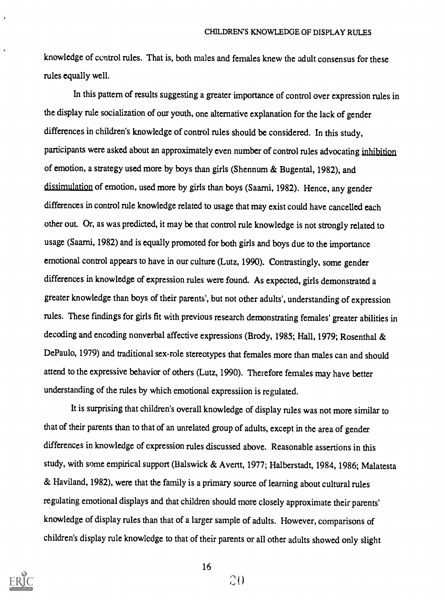knowledge of control rules. That is, both males and females knew the adult consensus for these rules equally well.

In this pattern of results suggesting a greater importance of control over expression rules in the display rule socialization of our youth, one alternative explanation for the lack of gender differences in children's knowledge of control rules should be considered. In this study, participants were asked about an approximately even number of control rules advocating inhibition of emotion, a strategy used more by boys than girls (Shennum & Bugental, 1982), and dissimulation of emotion, used more by girls than boys (Saarni, 1982). Hence, any gender differences in control rule knowledge related to usage that may exist could have cancelled each other out. Or, as was predicted, it may be that control rule knowledge is not strongly related to usage (Saarni, 1982) and is equally promoted for both girls and boys due to the importance emotional control appears to have in our culture (Lutz, 1990). Contrastingly, some gender differences in knowledge of expression rules were found. As expected, girls demonstrated a greater knowledge than boys of their parents', but not other adults', understanding of expression rules. These fmdings for girls fit with previous research demonstrating females' greater abilities in decoding and encoding nonverbal affective expressions (Brody, 1985; Hall, 1979; Rosenthal & DePaulo, 1979) and traditional sex-role stereotypes that females more than males can and should attend to the expressive behavior of others (Lutz, 1990). Therefore females may have better understanding of the rules by which emotional expressiion is regulated.

It is surprising that children's overall knowledge of display rules was not more similar to that of their parents than to that of an unrelated group of adults, except in the area of gender differences in knowledge of expression rules discussed above. Reasonable assertions in this study, with some empirical support (Balswick & Avertt, 1977; Halberstadt, 1984, 1986; Malatesta & Haviland, 1982), were that the family is a primary source of learning about cultural rules regulating emotional displays and that children should more closely approximate their parents' knowledge of display rules than that of a larger sample of adults. However, comparisons of children's display rule knowledge to that of their parents or all other adults showed only slight



16

 $\mathcal{L}()$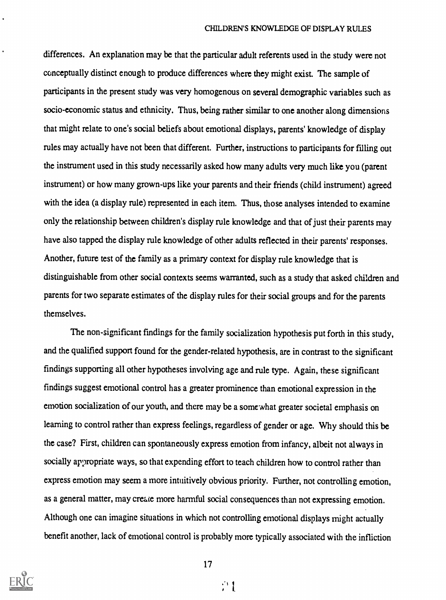differences. An explanation may be that the particular adult referents used in the study were not conceptually distinct enough to produce differences where they might exist. The sample of participants in the present study was very homogenous on several demographic variables such as socio-economic status and ethnicity. Thus, being rather similar to one another along dimensions that might relate to one's social beliefs about emotional displays, parents' knowledge of display rules may actually have not been that different. Further, instructions to participants for filling out the instrument used in this study necessarily asked how many adults very much like you (parent instrument) or how many grown-ups like your parents and their friends (child instrument) agreed with the idea (a display rule) represented in each item. Thus, those analyses intended to examine only the relationship between children's display rule knowledge and that of just their parents may have also tapped the display rule knowledge of other adults reflected in their parents'responses. Another, future test of the family as a primary context for display rule knowledge that is distinguishable from other social contexts seems warranted, such as a study that asked children and parents for two separate estimates of the display rules for their social groups and for the parents themselves.

The non-significant findings for the family socialization hypothesis put forth in this study, and the qualified support found for the gender-related hypothesis, are in contrast to the significant findings supporting all other hypotheses involving age and rule type. Again, these significant findings suggest emotional control has a greater prominence than emotional expression in the emotion socialization of our youth, and there may be a somewhat greater societal emphasis on learning to control rather than express feelings, regardless of gender or age. Why should this be the case? First, children can spontaneously express emotion from infancy, albeit not always in socially appropriate ways, so that expending effort to teach children how to control rather than express emotion may seem a more intuitively obvious priority. Further, not controlling emotion, as a general matter, may create more harmful social consequences than not expressing emotion. Although one can imagine situations in which not controlling emotional displays might actually benefit another, lack of emotional control is probably more typically associated with the infliction



17

 $\mathbb{C}$  1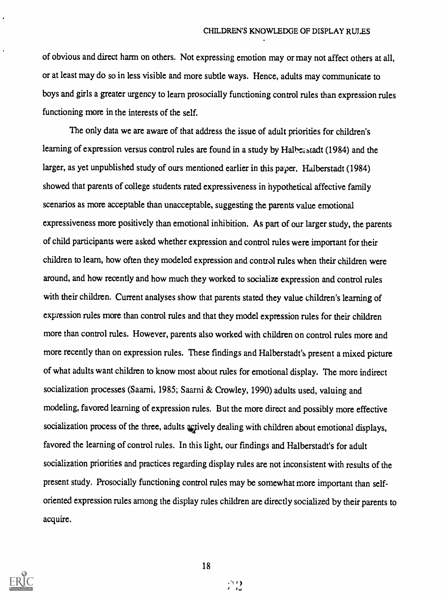of obvious and direct harm on others. Not expressing emotion may or may not affect others at all, or at least may do so in less visible and more subtle ways. Hence, adults may communicate to boys and girls a greater urgency to learn prosocially functioning control rules than expression rules functioning more in the interests of the self.

The only data we are aware of that address the issue of adult priorities for children's learning of expression versus control rules are found in a study by Halberstadt (1984) and the larger, as yet unpublished study of ours mentioned earlier in this paper. Halberstadt (1984) showed that parents of college students rated expressiveness in hypothetical affective family scenarios as more acceptable than unacceptable, suggesting the parents value emotional expressiveness more positively than emotional inhibition. As part of our larger study, the parents of child participants were asked whether expression and control rules were important for their children to learn, how often they modeled expression and control rules when their children were around, and how recently and how much they worked to socialize expression and control rules with their children. Current analyses show that parents stated they value children's learning of expression rules more than control rules and that they model expression rules for their children more than control rules. However, parents also worked with children on control rules more and more recently than on expression rules. These findings and Halberstadt's present a mixed picture of what adults want children to know most about rules for emotional display. The more indirect socialization processes (Saarni, 1985; Saarni & Crowley, 1990) adults used, valuing and modeling, favored learning of expression rules. But the more direct and possibly more effective socialization process of the three, adults actively dealing with children about emotional displays, favored the learning of control rules. In this light, our findings and Halberstadt's for adult socialization priorities and practices regarding display rules are not inconsistent with results of the present study. Prosocially functioning control rules may be somewhat more important than selforiented expression rules among the display rules children are directly socialized by their parents to acquire.

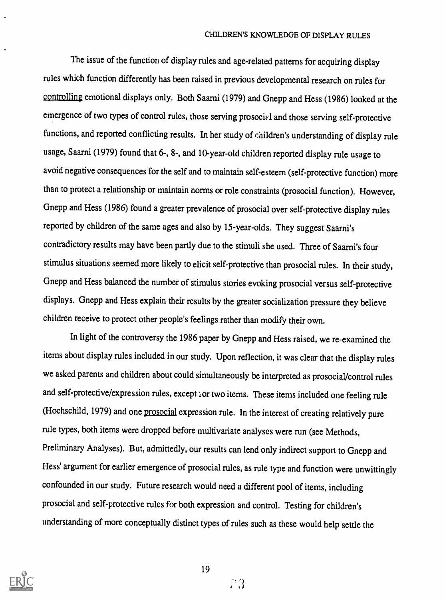The issue of the function of display rules and age-related patterns for acquiring display rules which function differently has been raised in previous developmental research on rules for controlling emotional displays only. Both Saarni (1979) and Gnepp and Hess (1986) looked at the emergence of two types of control rules, those serving prosocial and those serving self-protective functions, and reported conflicting results. In her study of children's understanding of display rule usage, Saarni (1979) found that 6-, 8-, and 10-year-old children reported display rule usage to avoid negative consequences for the self and to maintain self-esteem (self-protective function) more than to protect a relationship or maintain norms or role constraints (prosocial function). However, Gnepp and Hess (1986) found a greater prevalence of prosocial over self-protective display rules reported by children of the same ages and also by 15-year-olds. They suggest Saarni's contradictory results may have been partly due to the stimuli she used. Three of Saarni's four stimulus situations seemed more likely to elicit self-protective than prosocial rules. In their study, Gnepp and Hess balanced the number of stimulus stories evoking prosocial versus self-protective displays. Gnepp and Hess explain their results by the greater socialization pressure they believe children receive to protect other people's feelings rather than modify their own.

In light of the controversy the 1986 paper by Gnepp and Hess raised, we re-examined the items about display rules included in our study. Upon reflection, it was clear that the display rules we asked parents and children about could simultaneously be interpreted as prosocial/control rules and self-protective/expression rules, except ior two items. These items included one feeling rule (Hochschild, 1979) and one prosocial expression rule. In the interest of creating relatively pure rule types, both items were dropped before muldvariate analyses were run (see Methods, Preliminary Analyses). But, admittedly, our results can lend only indirect support to Gnepp and Hess' argument for earlier emergence of prosocial rules, as rule type and function were unwittingly confounded in our study. Future research would need a different pool of items, including prosocial and self-protective rules for both expression and control. Testing for children's understanding of more conceptually distinct types of rules such as these would help settle the



19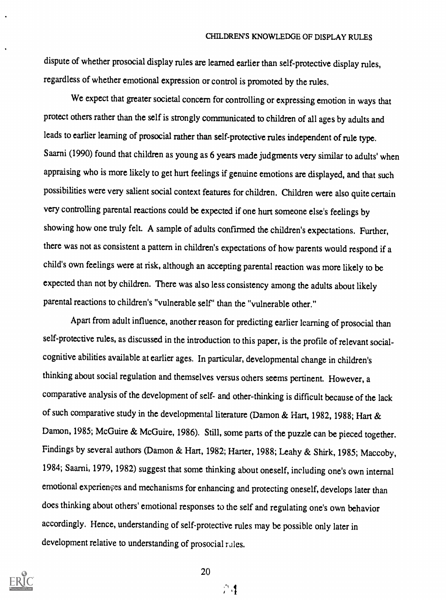dispute of whether prosocial display rules are learned earlier than self-protective display rules, regardless of whether emotional expression or control is promoted by the rules.

We expect that greater societal concern for controlling or expressing emotion in ways that protect others rather than the self is strongly communicated to children of all ages by adults and leads to earlier learning of prosocial rather than self-protective rules independent of rule type. Saarni (1990) found that children as young as 6 years made judgments very similar to adults' when appraising who is more likely to get hurt feelings if genuine emotions are displayed, and that such possibilities were very salient social context features for children. Children were also quite certain very controlling parental reactions could be expected if one hurt someone else's feelings by showing how one truly felt. A sample of adults confirmed the children's expectations. Further, there was not as consistent a pattern in children's expectations of how parents would respond if <sup>a</sup> child's own feelings were at risk, although an accepting parental reaction was more likely to be expected than not by children. There was also less consistency among the adults about likely parental reactions to children's "vulnerable self' than the "vulnerable other."

Apart from adult influence, another reason for predicting earlier learning of prosocial than self-protective rules, as discussed in the introduction to this paper, is the profile of relevant socialcognitive abilities available at earlier ages. In particular, developmental change in children's thinking about social regulation and themselves versus others seems pertinent. However, a comparative analysis of the development of self- and other-thinking is difficult because of the lack of such comparative study in the developmental literature (Damon & Hart, 1982, 1988; Hart & Damon, 1985; McGuire & McGuire, 1986). Still, some parts of the puzzle can be pieced together. Findings by several authors (Damon & Hart, 1982; Harter, 1988; Leahy & Shirk, 1985; Maccoby, 1984; Saarni, 1979, 1982) suggest that some thinking about oneself, including one's own internal emotional experiences and mechanisms for enhancing and protecting oneself, develops later than does thinking about others' emotional responses to the self and regulating one's own behavior accordingly. Hence, understanding of self-protective rules may be possible only later in development relative to understanding of prosocial rules.



20

 $\triangle$  4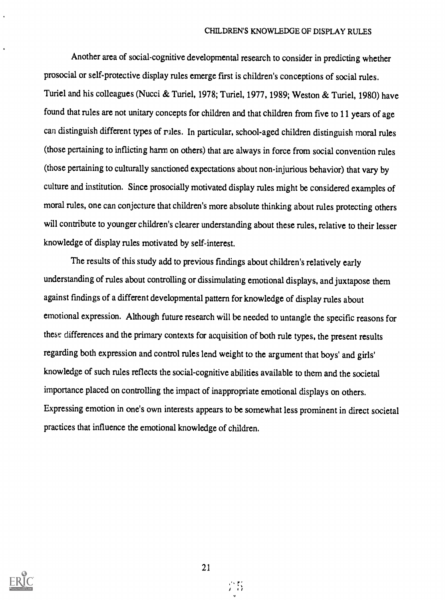Another area of social-cognitive developmental research to consider in predicting whether prosocial or self-protective display rules emerge first is children's conceptions of social rules. Turiel and his colleagues (Nucci & Turiel, 1978; Turiel, 1977, 1989; Weston & Turiel, 1980) have found that rules are not unitary concepts for children and that children from five to 11 years of age can distinguish different types of riles. In particular, school-aged children distinguish moral rules (those pertaining to inflicting harm on others) that are always in force from social convention rules (those pertaining to culturally sanctioned expectations about non-injurious behavior) that vary by culture and institution. Since prosocially motivated display rules might be considered examples of moral rules, one can conjecture that children's more absolute thinking about rules protecting others will contribute to younger children's clearer understanding about these rules, relative to their lesser knowledge of display rules motivated by self-interest.

The results of this study add to previous findings about children's relatively early understanding of rules about controlling or dissimulating emotional displays, and juxtapose them against fmdings of a different developmental pattern for knowledge of display rules about emotional expression. Although future research will be needed to untangle the specific reasons for these differences and the primary contexts for acquisition of both nile types, the present results regarding both expression and control rules lend weight to the argument that boys' and girls' knowledge of such rules reflects the social-cognitive abilities available to them and the societal importance placed on controlling the impact of inappropriate emotional displays on others. Expressing emotion in one's own interests appears to be somewhat less prominent in direct societal practices that influence the emotional knowledge of children.



21

.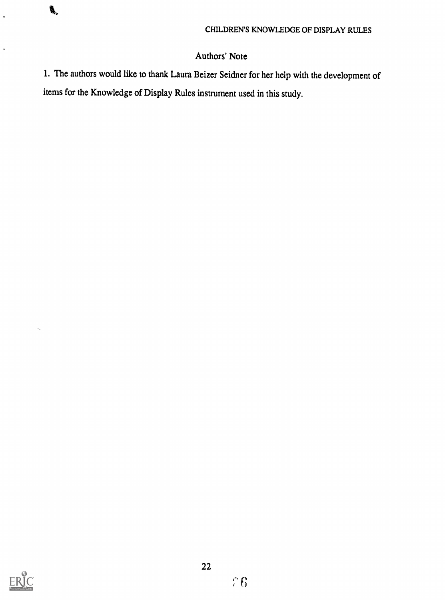

 $\ddot{\phantom{0}}$ 

CHILDREN'S KNOWLEDGE OF DISPLAY RULES

# Authors' Note

1. The authors would like to thank Laura Beizer Seidner for her help with the development of items for the Knowledge of Display Rules instrument used in this study.



 $\hat{\mathbf{v}}_{\text{in}}$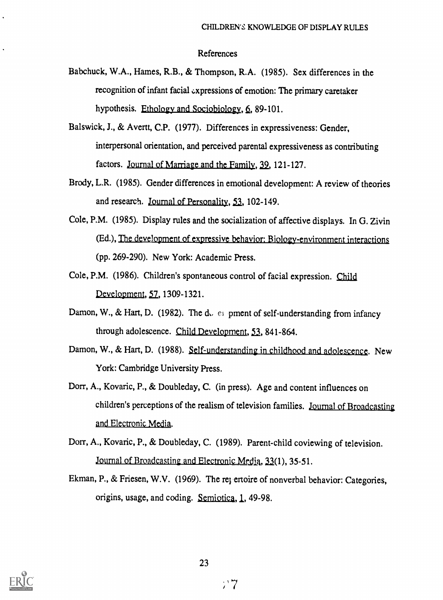# References

- Babchuck, W.A., Hames, R.B., & Thompson, R.A. (1985). Sex differences in the recognition of infant facial expressions of emotion: The primary caretaker hypothesis. Ethology and Sociobiology,  $6, 89-101$ .
- Balswick, J., & Avertt, C.P. (1977). Differences in expressiveness: Gender, interpersonal orientation, and perceived parental expressiveness as contributing factors. Journal of Marriage and the Family, 39, 121-127.
- Brody, L.R. (1985). Gender differences in emotional development: A review of theories and research. Journal of Personality, 53, 102-149.
- Cole, P.M. (1985). Display rules and the socialization of affective displays. In G. Zivin (Ed.), The development of expressive behavior: Biology-environment interactions (pp. 269-290). New York: Academic Press.
- Cole, P.M. (1986). Children's spontaneous control of facial expression. Child Development, 57, 1309-1321.
- Damon, W., & Hart, D. (1982). The d.  $\epsilon_1$  pment of self-understanding from infancy through adolescence. Child Development, 53, 841-864.
- Damon, W., & Hart, D. (1988). Self-understanding in childhood and adolescence. New York: Cambridge University Press.
- Dorr, A., Kovaric, P., & Doubleday, C. (in press). Age and content influences on children's perceptions of the realism of television families. Journal of Broadcasting and Electronic Media.
- Dorr, A., Kovaric, P., & Doubleday, C. (1989). Parent-child coviewing of television. Journal of Broadcasting and Electronic Media, 33(1), 35-51.
- Ekman, P., & Friesen, W.V. (1969). The repertoire of nonverbal behavior: Categories, origins, usage, and coding. Semiotica, 1., 49-98.

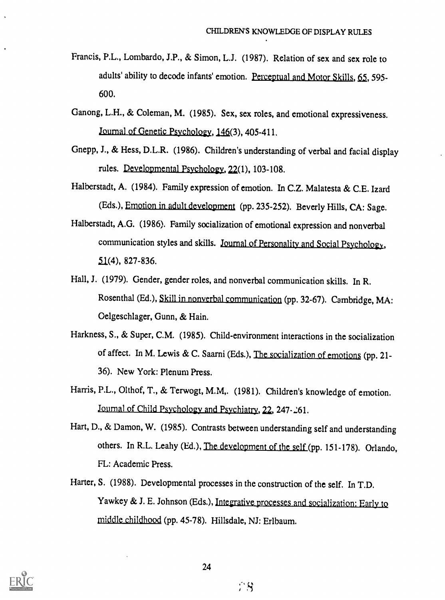- Francis, P.L., Lombardo, J.P., & Simon, L.J. (1987). Relation of sex and sex role to adults' ability to decode infants' emotion. Perceptual and Motor Skills, 65, 595-600.
- Ganong, L.H., & Coleman, M. (1985). Sex, sex roles, and emotional expressiveness. Journal of Genetic Psychology, 146(3), 405-411.
- Gnepp, J., & Hess, D.L.R. (1986). Children's understanding of verbal and facial display rules. Developmental Psychology, 22(1), 103-108.
- Halberstadt, A. (1984). Family expression of emotion. In C.Z. Malatesta & C.E. Izard (Eds.), Emotion in adult development (pp. 235-252). Beverly Hills, CA: Sage.
- Halberstadt, A.G. (1986). Family socialization of emotional expression and nonverbal communication styles and skills. Journal of Personality and Social Psychology, 51(4), 827-836.
- Hall, J. (1979). Gender, gender roles, and nonverbal communication skills. In R. Rosenthal (Ed.), Skill in nonverbal communication (pp. 32-67). Cambridge, MA: Oelgeschlager, Gunn, & Hain.
- Harkness, S., & Super, C.M. (1985). Child-environment interactions in the socialization of affect. In M. Lewis & C. Saarni (Eds.), The socialization of emotions (pp. 21- 36). New York: Plenum Press.
- Harris, P.L., Olthof, T., & Terwogt, M.M,. (1981). Children's knowledge of emotion. Journal of Child Psychology and Psychiatry,  $22$ ,  $247 - 61$ .
- Hart, D., & Damon, W. (1985). Contrasts between understanding self and understanding others. In R.L. Leahy (Ed.), The development of the self (pp. 151-178). Orlando, FL: Academic Press.
- Harter, S. (1988). Developmental processes in the construction of the self. In T.D. Yawkey & J. E. Johnson (Eds.), Integrative processes and socialization: Early to middle childhood (pp. 45-78). Hillsdale, NJ: Erlbaum.

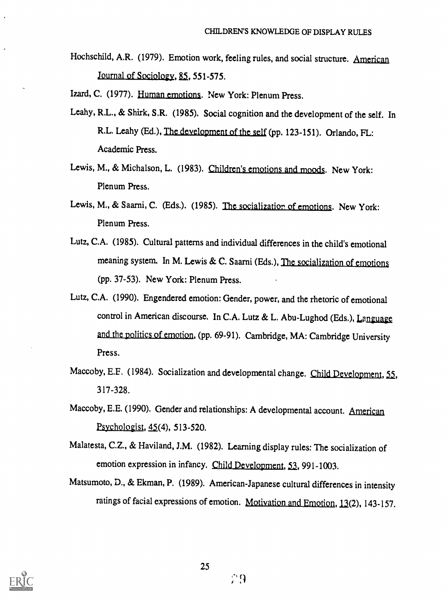Hochschild, A.R. (1979). Emotion work, feeling rules, and social structure. American Journal of Sociology, 85, 551-575.

Izard, C. (1977). Human emotions. New York: Plenum Press.

- Leahy, R.L., & Shirk, S.R. (1985). Social cognition and the development of the self. In R.L. Leahy (Ed.), The development of the self (pp. 123-151). Orlando, FL: Academic Press.
- Lewis, M., & Michalson, L. (1983). Children's emotions and moods. New York: Plenum Press.
- Lewis, M., & Saarni, C. (Eds.). (1985). The socializatior of emotions. New York: Plenum Press.
- Lutz, C.A. (1985). Cultural patterns and individual differences in the child's emotional meaning system. In M. Lewis & C. Saarni (Eds.), The socialization of emotions (pp. 37-53). New York: Plenum Press.
- Lutz, C.A. (1990). Engendered emotion: Gender, power, and the rhetoric of emotional control in American discourse. In C.A. Lutz & L. Abu-Lughod (Eds.), Language and the politics of emotion, (pp. 69-91). Cambridge, MA: Cambridge University Press.
- Maccoby, E.F. (1984). Socialization and developmental change. Child Development, 55, 317-328.
- Maccoby, E.E. (1990). Gender and relationships: A developmental account. American Psychologist,  $45(4)$ , 513-520.
- Malatesta, C.Z., & Haviland, J.M. (1982). Learning display rules: The socialization of emotion expression in infancy. Child Development, 53, 991-1003.
- Matsumoto, D., & Ekman, P. (1989). American-Japanese cultural differences in intensity ratings of facial expressions of emotion. Motivation and Emotion, 13(2), 143-157.

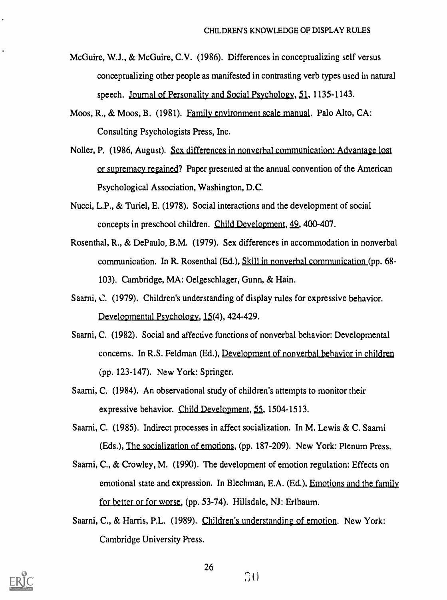- McGuire, W.J., & McGuire, C.V. (1986). Differences in conceptualizing self versus conceptualizing other people as manifested in contrasting verb types used in natural speech. Journal of Personality and Social Psychology, 51, 1135-1143.
- Moos, R., & Moos, B. (1981). Family environment scale manual. Palo Alto, CA: Consulting Psychologists Press, Inc.
- Noller, P. (1986, August). Sex differences in nonverbal communication: Advantage lost or supremacy regained? Paper presented at the annual convention of the American Psychological Association, Washington, D.C.
- Nucci, L.P., & Turiel, E. (1978). Social interactions and the development of social concepts in preschool children. Child Development, 49, 400-407.
- Rosenthal, R., & DePaulo, B.M. (1979). Sex differences in accommodation in nonverbal communication. In R. Rosenthal (Ed.), Skill in nonverbal communication\_(pp. 68- 103). Cambridge, MA: Oelgeschlager, Gunn, & Hain.
- Saarni, C. (1979). Children's understanding of display rules for expressive behavior. Developmental Psychology, 15(4), 424-429.
- Saarni, C. (1982). Social and affective functions of nonverbal behavior: Developmental concerns. In R.S. Feldman (Ed.), Development of nonverbal behavior in children (pp. 123-147). New York: Springer.
- Saarni, C. (1984). An observational study of children's attempts to monitor their expressive behavior. Child Development, 55, 1504-1513.
- Saarni, C. (1985). Indirect processes in affect socialization. In M. Lewis & C. Saarni (Eds.), The socialization of emotions, (pp. 187-209). New York: Plenum Press.
- Saarni, C., & Crowley, M. (1990). The development of emotion regulation: Effects on emotional state and expression. In Blechman, E.A. (Ed.), Emotions and the family for better or for worse, (pp. 53-74). Hillsdale, NJ: Erlbaum.
- Saarni, C., & Harris, P.L. (1989). Children's understanding of emotion. New York: Cambridge University Press.



26 $\mathbb{G}$ ()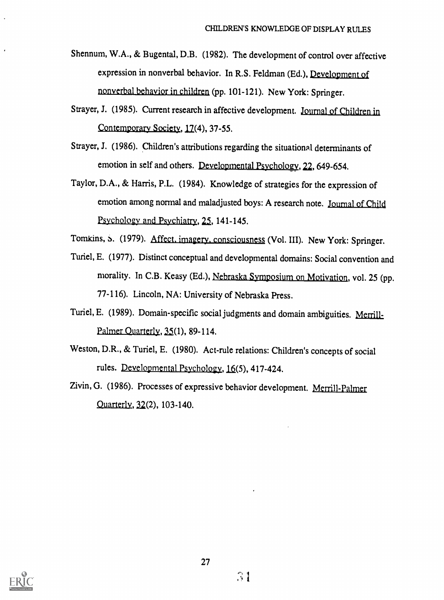- Shennum, W.A., & Bugental, D.B. (1982). The development of control over affective expression in nonverbal behavior. In R.S. Feldman (Ed.), Development of nonverbal behavior in children (pp. 101-121). New York: Springer.
- Strayer, J. (1985). Current research in affective development. Journal of Children in Contemporary Society, 17(4), 37-55.
- Strayer, J. (1986). Children's attributions regarding the situational determinants of emotion in self and others. Developmental Psychology, 22, 649-654.
- Taylor, D.A., & Harris, P.L. (1984). Knowledge of strategies for the expression of emotion among normal and maladjusted boys: A research note. Journal of Child Psychology and Psychiatry, 25, 141-145.
- Tomkins, S. (1979). Affect. imagery. consciousness (Vol. III). New York: Springer.
- Turiel, E. (1977). Distinct conceptual and developmental domains: Social convention and morality. In C.B. Keasy (Ed.), Nebraska Symposium on Motivation, vol. 25 (pp. 77-116). Lincoln, NA: University of Nebraska Press.
- Turiel, E. (1989). Domain-specific social judgments and domain ambiguities. Merrill-Palmer Quarterly,  $35(1)$ , 89-114.
- Weston, D.R., & Turiel, E. (1980). Act-rule relations: Children's concepts of social rules. Developmental Psychology, 16(5), 417-424.
- Zivin, G. (1986). Processes of expressive behavior development. Merrill-Palmer Quarterly, 22(2), 103-140.

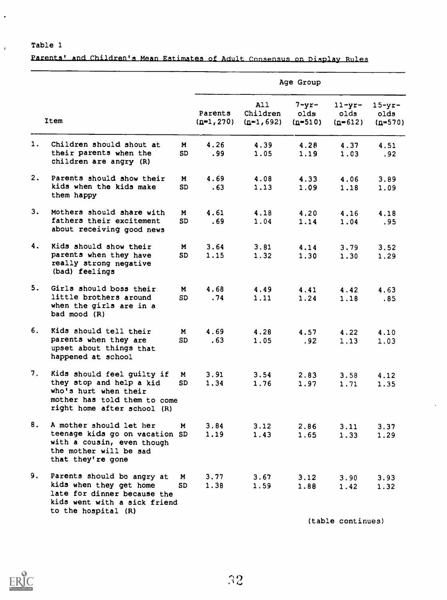$\ddot{\phantom{1}}$ 

 $\mathbf{I}$ 

Parents' and Children's Mean Estimates of Adult Consensus on Display Rules

|    |                                                                                                                                                |                |                         |                                 | Age Group                       |                                  |                                  |
|----|------------------------------------------------------------------------------------------------------------------------------------------------|----------------|-------------------------|---------------------------------|---------------------------------|----------------------------------|----------------------------------|
|    | Item                                                                                                                                           |                | Parents<br>$(n=1, 270)$ | All<br>Children<br>$(n=1, 692)$ | $7 - yr -$<br>olds<br>$(n=510)$ | $11 - yr -$<br>olds<br>$(n=612)$ | $15 - yr -$<br>olds<br>$(n=570)$ |
| 1. | Children should shout at<br>their parents when the<br>children are angry (R)                                                                   | M<br><b>SD</b> | 4.26<br>.99             | 4.39<br>1.05                    | 4.28<br>1.19                    | 4.37<br>1.03                     | 4.51<br>.92                      |
| 2. | Parents should show their<br>kids when the kids make<br>them happy                                                                             | M<br><b>SD</b> | 4.69<br>.63             | 4.08<br>1.13                    | 4.33<br>1.09                    | 4.06<br>1.18                     | 3.89<br>1.09                     |
| 3. | Mothers should share with<br>fathers their excitement<br>about receiving good news                                                             | M<br><b>SD</b> | 4.61<br>.69             | 4.18<br>1.04                    | 4.20<br>1.14                    | 4.16<br>1.04                     | 4.18<br>.95                      |
| 4. | Kids should show their<br>parents when they have<br>really strong negative<br>(bad) feelings                                                   | M<br><b>SD</b> | 3.64<br>1.15            | 3.81<br>1.32                    | 4.14<br>1.30                    | 3.79<br>1.30                     | 3.52<br>1.29                     |
| 5. | Girls should boss their<br>little brothers around<br>when the girls are in a<br>bad mood (R)                                                   | M<br>SD        | 4.68<br>.74             | 4.49<br>1.11                    | 4.41<br>1.24                    | 4.42<br>1.18                     | 4.63<br>.85                      |
| 6. | Kids should tell their<br>parents when they are<br>upset about things that<br>happened at school                                               | M<br><b>SD</b> | 4.69<br>.63             | 4.28<br>1.05                    | 4.57<br>.92                     | 4.22<br>1.13                     | 4.10<br>1.03                     |
| 7. | Kids should feel guilty if<br>they stop and help a kid<br>who's hurt when their<br>mother has told them to come<br>right home after school (R) | M<br><b>SD</b> | 3.91<br>1.34            | 3.54<br>1.76                    | 2.83<br>1.97                    | 3.58<br>1.71                     | 4.12<br>1.35                     |
| 8. | A mother should let her<br>teenage kids go on vacation SD<br>with a cousin, even though<br>the mother will be sad<br>that they're gone         | M              | 3.84<br>1.19            | 3.12<br>1.43                    | 2.86<br>1.65                    | 3.11<br>1.33                     | 3.37<br>1.29                     |
| 9. | Parents should be angry at<br>kids when they get home<br>late for dinner because the<br>kids went with a sick friend<br>to the hospital (R)    | M<br><b>SD</b> | 3.77<br>1.38            | 3.67<br>1.59                    | 3.12<br>1.88                    | 3.90<br>1.42                     | 3.93<br>1.32                     |

(table continues)

 $\ddot{\phantom{a}}$ 

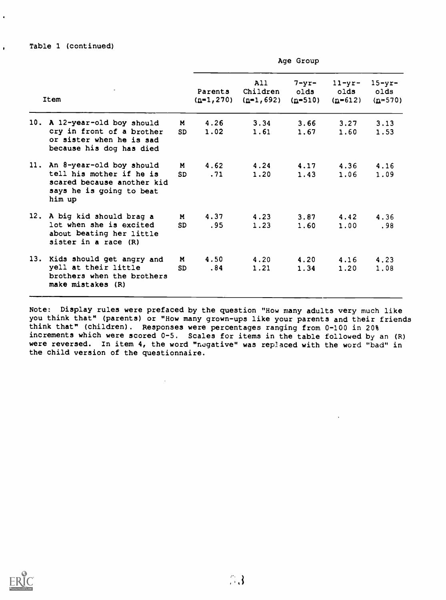Item 10. A 12-year-old boy should cry in front of a brother or sister when he is sad because his dog has died 11. An 8-year-old boy should tell his mother if he is scared because another kid says he is going to beat him up 12. A big kid should brag a lot when she is excited about beating her little sister in a race (R) 13. Kids should get angry and yell at their little brothers when the brothers make mistakes (R) Parents (n=1,270) All Children (n=1,692)  $7 - yr$ olds  $(n=510)$  $11 - yr$ olds  $(n=612)$ 15-yrolds (n=570) M 4.26 3.34 3.66 3.27 3.13 SD 1.02 1.61 1.67 1.60 1.53 M 4.62 4.24 4.17 4.36 4.16 SD .71 1.20 1.43 1.06 1.09 M 4.37 4.23 3.87 4.42 4.36 SD .95 1.23 1.60 1.00 .98 M 4.50 4.20 4.20 4.16 4.23 SD .84 1.21 1.34 1.20 1.08

Age Group

Note: Display rules were prefaced by the question "How many adults very much like you think that" (parents) or "How many grown-ups like your parents and their friends think that" (children). Responses were percentages ranging from 0-100 in 20% increments which were scored 0-5. Scales for items in the table followed by an (R) were reversed. In item 4, the word "negative" was replaced with the word "bad" in the child version of the questionnaire.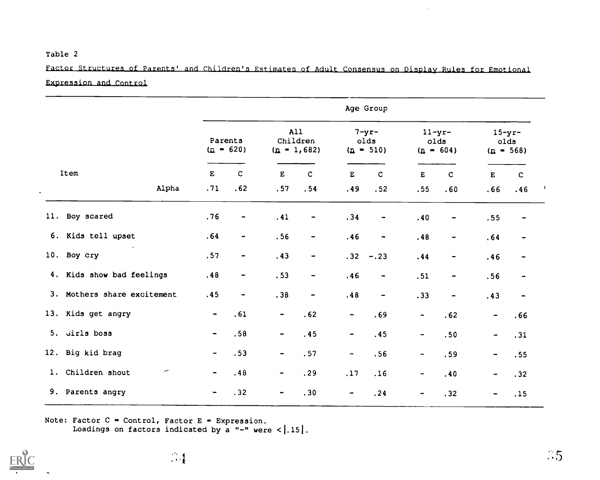Factor Structures of Parents' and Children's Estimates of Adult Consensus on Display Rules for Emotional Expression and Control

|                             |                              |                                                             |                          |                                   |                              | Age Group                          |                |                                    |                              |                              |                     |
|-----------------------------|------------------------------|-------------------------------------------------------------|--------------------------|-----------------------------------|------------------------------|------------------------------------|----------------|------------------------------------|------------------------------|------------------------------|---------------------|
|                             |                              | A11<br>Children<br>Parents<br>$(n = 620)$<br>$(n = 1, 682)$ |                          | $7 - yr -$<br>olds<br>$(n - 510)$ |                              | $11 - yr -$<br>olds<br>$(n = 604)$ |                | $15 - yr -$<br>olds<br>$(n = 568)$ |                              |                              |                     |
| Item                        | ${\bf E}$                    | $\mathbf C$                                                 | $\bf E$                  | $\mathbf C$                       | $\mathbf E$                  | $\mathbf C$                        | $\bf E$        | $\mathbf C$                        | $\mathbf E$                  | $\mathbf{C}$                 |                     |
| Alpha                       | .71                          | .62                                                         | .57                      | .54                               | .49                          | .52                                | .55            | .60                                | .66                          | .46                          | $\pmb{\mathcal{L}}$ |
| 11. Boy scared              | .76                          | $\blacksquare$                                              | .41                      | $\blacksquare$                    | .34                          | $\blacksquare$                     | .40            | -                                  | .55                          |                              |                     |
| 6. Kids tell upset          | .64                          | $\blacksquare$                                              | .56                      | $\overline{\phantom{a}}$          | .46                          | $\blacksquare$                     | .48            | $\hbox{\small -}$                  | .64                          | $\rightarrow$                |                     |
| 10. Boy cry                 | .57                          | $\blacksquare$                                              | .43                      | $\hbox{\small -}$                 | .32                          | $-.23$                             | .44            | $\overline{\phantom{0}}$           | .46                          |                              |                     |
| 4. Kids show bad feelings   | .48                          | $\blacksquare$                                              | .53                      | $\hbox{ }$                        | .46                          | $\blacksquare$                     | .51            | -                                  | .56                          | $\qquad \qquad \blacksquare$ |                     |
| 3. Mothers share excitement | .45                          | $\overline{\phantom{a}}$                                    | .38                      | $\overline{\phantom{m}}$          | .48                          | $\blacksquare$                     | .33            | $\hbox{\small -}$                  | .43                          | $\blacksquare$               |                     |
| 13. Kids get angry          | $\blacksquare$               | .61                                                         | $\blacksquare$           | .62                               | $\blacksquare$               | .69                                | $\bullet$      | .62                                | $\qquad \qquad \blacksquare$ | .66                          |                     |
| 5. Girls boss               | $\blacksquare$               | .58                                                         | $\blacksquare$           | .45                               | $\qquad \qquad \blacksquare$ | .45                                | $\blacksquare$ | .50                                | $\blacksquare$               | .31                          |                     |
| 12. Big kid brag            | $\qquad \qquad \blacksquare$ | .53                                                         | $\overline{\phantom{a}}$ | .57                               | $\blacksquare$               | .56                                | $\blacksquare$ | .59                                | $\blacksquare$               | .55                          |                     |
| 1. Children shout           | $\blacksquare$               | .48                                                         | $\blacksquare$           | .29                               | .17                          | .16                                | $\blacksquare$ | .40                                | $\overline{\phantom{0}}$     | .32                          |                     |
| 9. Parents angry            | $\qquad \qquad \blacksquare$ | .32                                                         | $\blacksquare$           | .30                               | $\blacksquare$               | .24                                | $\blacksquare$ | .32                                | $\overline{\phantom{a}}$     | .15                          |                     |

Note: Factor C = Control, Factor E = Expression.

Loadings on factors indicated by a "-" were  $\leq$   $|.15|$ .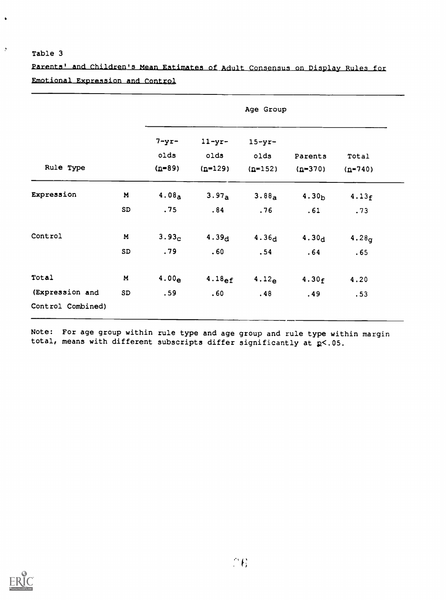$\bullet$ 

 $\mathcal{I}$ 

parents' and Children's Mean Estimates of Adult Consensus on Display Rules for Emotional Expression and Control

|                   |             | Age Group                      |                                  |                                  |                      |                    |  |  |
|-------------------|-------------|--------------------------------|----------------------------------|----------------------------------|----------------------|--------------------|--|--|
| Rule Type         |             | $7 - yr -$<br>olds<br>$(n=89)$ | $11 - yr -$<br>olds<br>$(n=129)$ | $15 - yr -$<br>olds<br>$(n=152)$ | Parents<br>$(n=370)$ | Total<br>$(n=740)$ |  |  |
| Expression        | $\mathbf M$ | 4.08 <sub>a</sub>              | 3.97a                            | 3.88 <sub>a</sub>                | 4.30 <sub>b</sub>    | 4.13f              |  |  |
|                   | <b>SD</b>   | .75                            | .84                              | .76                              | .61                  | .73                |  |  |
| Control           | $\mathbf M$ | 3.93 <sub>c</sub>              | 4.39 <sub>d</sub>                | 4.36d                            | 4.30 <sub>d</sub>    | 4.28 <sub>q</sub>  |  |  |
|                   | SD          | .79                            | .60                              | .54                              | .64                  | .65                |  |  |
| Total             | $\mathbf M$ | 4.00 <sub>e</sub>              | 4.18ef                           | 4.12 <sub>e</sub>                | 4.30f                | 4.20               |  |  |
| (Expression and   | <b>SD</b>   | .59                            | .60                              | .48                              | .49                  | .53                |  |  |
| Control Combined) |             |                                |                                  |                                  |                      |                    |  |  |

Note: For age group within rule type and age group and rule type within margin total, means with different subscripts differ significantly at p<.05.